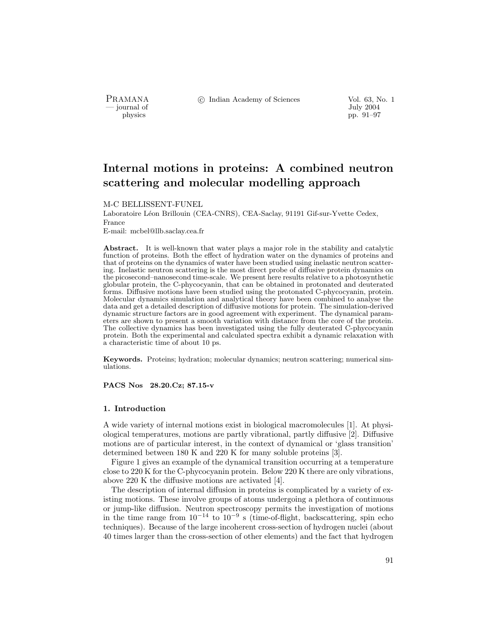- journal of<br>physics

PRAMANA °c Indian Academy of Sciences Vol. 63, No. 1 pp. 91–97

# Internal motions in proteins: A combined neutron scattering and molecular modelling approach

M-C BELLISSENT-FUNEL

Laboratoire Léon Brillouin (CEA-CNRS), CEA-Saclay, 91191 Gif-sur-Yvette Cedex, France

E-mail: mcbel@llb.saclay.cea.fr

Abstract. It is well-known that water plays a major role in the stability and catalytic function of proteins. Both the effect of hydration water on the dynamics of proteins and that of proteins on the dynamics of water have been studied using inelastic neutron scattering. Inelastic neutron scattering is the most direct probe of diffusive protein dynamics on the picosecond–nanosecond time-scale. We present here results relative to a photosynthetic globular protein, the C-phycocyanin, that can be obtained in protonated and deuterated forms. Diffusive motions have been studied using the protonated C-phycocyanin, protein. Molecular dynamics simulation and analytical theory have been combined to analyse the data and get a detailed description of diffusive motions for protein. The simulation-derived dynamic structure factors are in good agreement with experiment. The dynamical parameters are shown to present a smooth variation with distance from the core of the protein. The collective dynamics has been investigated using the fully deuterated C-phycocyanin protein. Both the experimental and calculated spectra exhibit a dynamic relaxation with a characteristic time of about 10 ps.

Keywords. Proteins; hydration; molecular dynamics; neutron scattering; numerical simulations.

PACS Nos 28.20.Cz; 87.15-v

# 1. Introduction

A wide variety of internal motions exist in biological macromolecules [1]. At physiological temperatures, motions are partly vibrational, partly diffusive [2]. Diffusive motions are of particular interest, in the context of dynamical or 'glass transition' determined between 180 K and 220 K for many soluble proteins [3].

Figure 1 gives an example of the dynamical transition occurring at a temperature close to 220 K for the C-phycocyanin protein. Below 220 K there are only vibrations, above 220 K the diffusive motions are activated [4].

The description of internal diffusion in proteins is complicated by a variety of existing motions. These involve groups of atoms undergoing a plethora of continuous or jump-like diffusion. Neutron spectroscopy permits the investigation of motions in the time range from  $10^{-14}$  to  $10^{-9}$  s (time-of-flight, backscattering, spin echo techniques). Because of the large incoherent cross-section of hydrogen nuclei (about 40 times larger than the cross-section of other elements) and the fact that hydrogen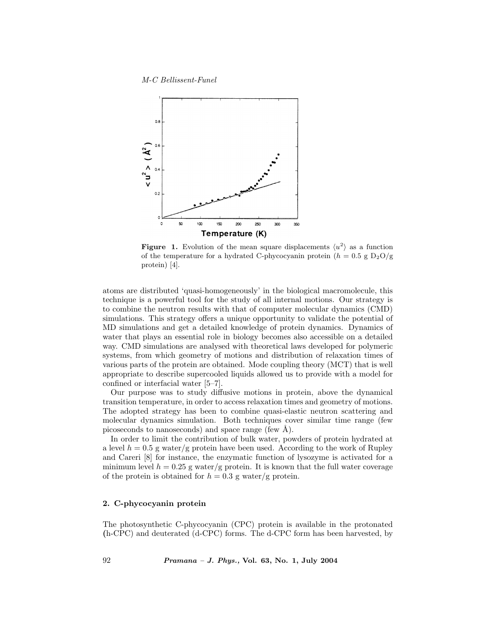M-C Bellissent-Funel



**Figure 1.** Evolution of the mean square displacements  $\langle u^2 \rangle$  as a function of the temperature for a hydrated C-phycocyanin protein  $(h = 0.5 \text{ g } D_2O/\text{g})$ protein) [4].

atoms are distributed 'quasi-homogeneously' in the biological macromolecule, this technique is a powerful tool for the study of all internal motions. Our strategy is to combine the neutron results with that of computer molecular dynamics (CMD) simulations. This strategy offers a unique opportunity to validate the potential of MD simulations and get a detailed knowledge of protein dynamics. Dynamics of water that plays an essential role in biology becomes also accessible on a detailed way. CMD simulations are analysed with theoretical laws developed for polymeric systems, from which geometry of motions and distribution of relaxation times of various parts of the protein are obtained. Mode coupling theory (MCT) that is well appropriate to describe supercooled liquids allowed us to provide with a model for confined or interfacial water [5–7].

Our purpose was to study diffusive motions in protein, above the dynamical transition temperature, in order to access relaxation times and geometry of motions. The adopted strategy has been to combine quasi-elastic neutron scattering and molecular dynamics simulation. Both techniques cover similar time range (few picoseconds to nanoseconds) and space range (few  $\hat{A}$ ).

In order to limit the contribution of bulk water, powders of protein hydrated at a level  $h = 0.5$  g water/g protein have been used. According to the work of Rupley and Careri [8] for instance, the enzymatic function of lysozyme is activated for a minimum level  $h = 0.25$  g water/g protein. It is known that the full water coverage of the protein is obtained for  $h = 0.3$  g water/g protein.

# 2. C-phycocyanin protein

The photosynthetic C-phycocyanin (CPC) protein is available in the protonated (h-CPC) and deuterated (d-CPC) forms. The d-CPC form has been harvested, by

92 Pramana – J. Phys., Vol. 63, No. 1, July 2004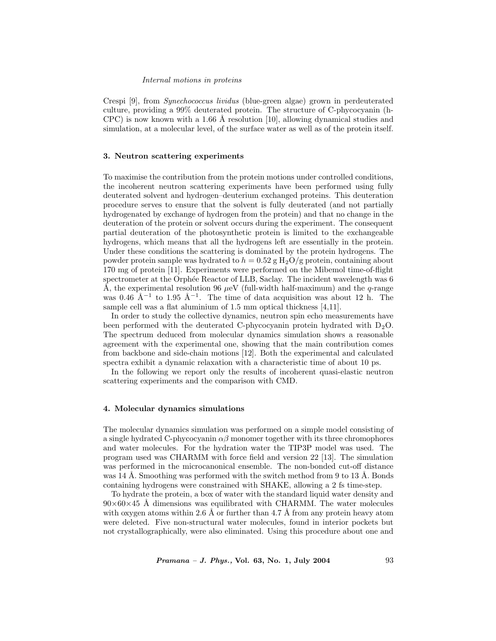#### Internal motions in proteins

Crespi [9], from Synechococcus lividus (blue-green algae) grown in perdeuterated culture, providing a 99% deuterated protein. The structure of C-phycocyanin (h-CPC) is now known with a 1.66 Å resolution [10], allowing dynamical studies and simulation, at a molecular level, of the surface water as well as of the protein itself.

# 3. Neutron scattering experiments

To maximise the contribution from the protein motions under controlled conditions, the incoherent neutron scattering experiments have been performed using fully deuterated solvent and hydrogen–deuterium exchanged proteins. This deuteration procedure serves to ensure that the solvent is fully deuterated (and not partially hydrogenated by exchange of hydrogen from the protein) and that no change in the deuteration of the protein or solvent occurs during the experiment. The consequent partial deuteration of the photosynthetic protein is limited to the exchangeable hydrogens, which means that all the hydrogens left are essentially in the protein. Under these conditions the scattering is dominated by the protein hydrogens. The powder protein sample was hydrated to  $h = 0.52$  g H<sub>2</sub>O/g protein, containing about 170 mg of protein [11]. Experiments were performed on the Mibemol time-of-flight spectrometer at the Orphée Reactor of LLB, Saclay. The incident wavelength was 6 Å, the experimental resolution 96  $\mu$ eV (full-width half-maximum) and the *q*-range was 0.46 Å<sup>-1</sup> to 1.95 Å<sup>-1</sup>. The time of data acquisition was about 12 h. The sample cell was a flat aluminium of 1.5 mm optical thickness [4,11].

In order to study the collective dynamics, neutron spin echo measurements have been performed with the deuterated C-phycocyanin protein hydrated with  $D_2O$ . The spectrum deduced from molecular dynamics simulation shows a reasonable agreement with the experimental one, showing that the main contribution comes from backbone and side-chain motions [12]. Both the experimental and calculated spectra exhibit a dynamic relaxation with a characteristic time of about 10 ps.

In the following we report only the results of incoherent quasi-elastic neutron scattering experiments and the comparison with CMD.

# 4. Molecular dynamics simulations

The molecular dynamics simulation was performed on a simple model consisting of a single hydrated C-phycocyanin  $\alpha\beta$  monomer together with its three chromophores and water molecules. For the hydration water the TIP3P model was used. The program used was CHARMM with force field and version 22 [13]. The simulation was performed in the microcanonical ensemble. The non-bonded cut-off distance was 14 Å. Smoothing was performed with the switch method from 9 to 13 Å. Bonds containing hydrogens were constrained with SHAKE, allowing a 2 fs time-step.

To hydrate the protein, a box of water with the standard liquid water density and  $90\times60\times45$  Å dimensions was equilibrated with CHARMM. The water molecules with oxygen atoms within 2.6 Å or further than 4.7 Å from any protein heavy atom were deleted. Five non-structural water molecules, found in interior pockets but not crystallographically, were also eliminated. Using this procedure about one and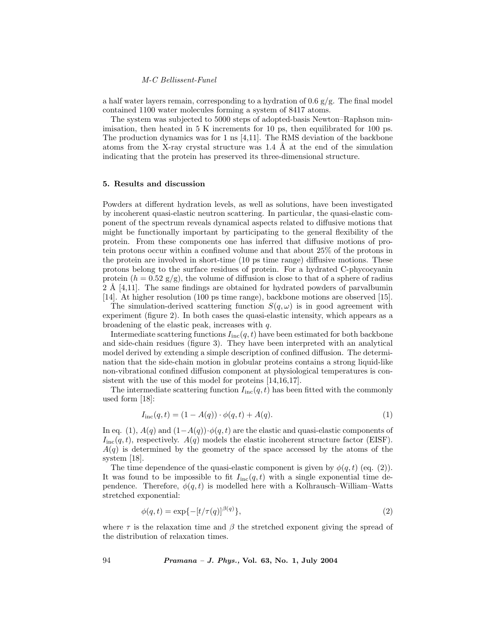#### M-C Bellissent-Funel

a half water layers remain, corresponding to a hydration of  $0.6 \text{ g/g}$ . The final model contained 1100 water molecules forming a system of 8417 atoms.

The system was subjected to 5000 steps of adopted-basis Newton–Raphson minimisation, then heated in 5 K increments for 10 ps, then equilibrated for 100 ps. The production dynamics was for 1 ns  $[4,11]$ . The RMS deviation of the backbone atoms from the X-ray crystal structure was  $1.4 \text{ Å}$  at the end of the simulation indicating that the protein has preserved its three-dimensional structure.

## 5. Results and discussion

Powders at different hydration levels, as well as solutions, have been investigated by incoherent quasi-elastic neutron scattering. In particular, the quasi-elastic component of the spectrum reveals dynamical aspects related to diffusive motions that might be functionally important by participating to the general flexibility of the protein. From these components one has inferred that diffusive motions of protein protons occur within a confined volume and that about 25% of the protons in the protein are involved in short-time (10 ps time range) diffusive motions. These protons belong to the surface residues of protein. For a hydrated C-phycocyanin protein  $(h = 0.52 \text{ g/g})$ , the volume of diffusion is close to that of a sphere of radius  $2 \text{ Å } [4,11]$ . The same findings are obtained for hydrated powders of parval bumin [14]. At higher resolution (100 ps time range), backbone motions are observed [15].

The simulation-derived scattering function  $S(q,\omega)$  is in good agreement with experiment (figure 2). In both cases the quasi-elastic intensity, which appears as a broadening of the elastic peak, increases with q.

Intermediate scattering functions  $I_{inc}(q, t)$  have been estimated for both backbone and side-chain residues (figure 3). They have been interpreted with an analytical model derived by extending a simple description of confined diffusion. The determination that the side-chain motion in globular proteins contains a strong liquid-like non-vibrational confined diffusion component at physiological temperatures is consistent with the use of this model for proteins [14,16,17].

The intermediate scattering function  $I_{\text{inc}}(q, t)$  has been fitted with the commonly used form [18]:

$$
I_{\rm inc}(q, t) = (1 - A(q)) \cdot \phi(q, t) + A(q). \tag{1}
$$

In eq. (1),  $A(q)$  and  $(1-A(q))\cdot\phi(q,t)$  are the elastic and quasi-elastic components of  $I_{\text{inc}}(q, t)$ , respectively.  $A(q)$  models the elastic incoherent structure factor (EISF).  $A(q)$  is determined by the geometry of the space accessed by the atoms of the system [18].

The time dependence of the quasi-elastic component is given by  $\phi(q, t)$  (eq. (2)). It was found to be impossible to fit  $I_{\text{inc}}(q,t)$  with a single exponential time dependence. Therefore,  $\phi(q, t)$  is modelled here with a Kolhrausch–William–Watts stretched exponential:

$$
\phi(q,t) = \exp\{-[t/\tau(q)]^{\beta(q)}\},\tag{2}
$$

where  $\tau$  is the relaxation time and  $\beta$  the stretched exponent giving the spread of the distribution of relaxation times.

94 Pramana – J. Phys., Vol. 63, No. 1, July 2004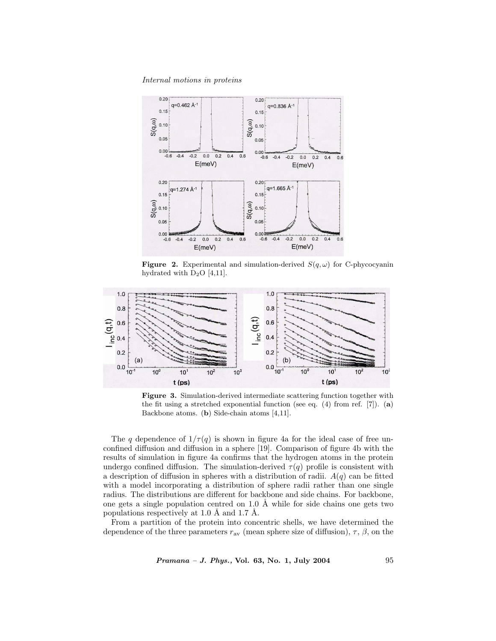Internal motions in proteins



**Figure 2.** Experimental and simulation-derived  $S(q, \omega)$  for C-phycocyanin hydrated with  $D_2O$  [4,11].



Figure 3. Simulation-derived intermediate scattering function together with the fit using a stretched exponential function (see eq.  $(4)$  from ref.  $[7]$ ).  $(a)$ Backbone atoms. (b) Side-chain atoms [4,11].

The q dependence of  $1/\tau(q)$  is shown in figure 4a for the ideal case of free unconfined diffusion and diffusion in a sphere [19]. Comparison of figure 4b with the results of simulation in figure 4a confirms that the hydrogen atoms in the protein undergo confined diffusion. The simulation-derived  $\tau(q)$  profile is consistent with a description of diffusion in spheres with a distribution of radii.  $A(q)$  can be fitted with a model incorporating a distribution of sphere radii rather than one single radius. The distributions are different for backbone and side chains. For backbone, one gets a single population centred on 1.0  $\AA$  while for side chains one gets two populations respectively at 1.0  $\AA$  and 1.7  $\AA$ .

From a partition of the protein into concentric shells, we have determined the dependence of the three parameters  $r_{av}$  (mean sphere size of diffusion),  $\tau$ ,  $\beta$ , on the

Pramana – J. Phys., Vol. 63, No. 1, July 2004 95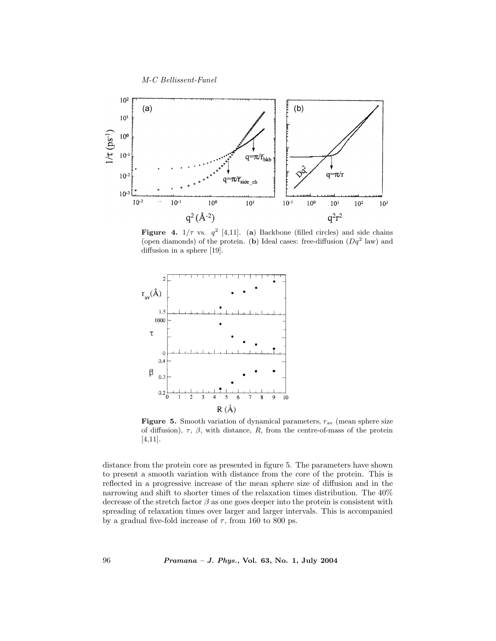M-C Bellissent-Funel



**Figure 4.**  $1/\tau$  vs.  $q^2$  [4,11]. (a) Backbone (filled circles) and side chains (open diamonds) of the protein. (b) Ideal cases: free-diffusion  $(Dq^2)$  law) and diffusion in a sphere [19].



Figure 5. Smooth variation of dynamical parameters,  $r_{\text{av}}$  (mean sphere size of diffusion),  $\tau$ ,  $\beta$ , with distance,  $R$ , from the centre-of-mass of the protein [4,11].

distance from the protein core as presented in figure 5. The parameters have shown to present a smooth variation with distance from the core of the protein. This is reflected in a progressive increase of the mean sphere size of diffusion and in the narrowing and shift to shorter times of the relaxation times distribution. The 40% decrease of the stretch factor  $\beta$  as one goes deeper into the protein is consistent with spreading of relaxation times over larger and larger intervals. This is accompanied by a gradual five-fold increase of  $\tau$ , from 160 to 800 ps.

96 Pramana – J. Phys., Vol. 63, No. 1, July 2004